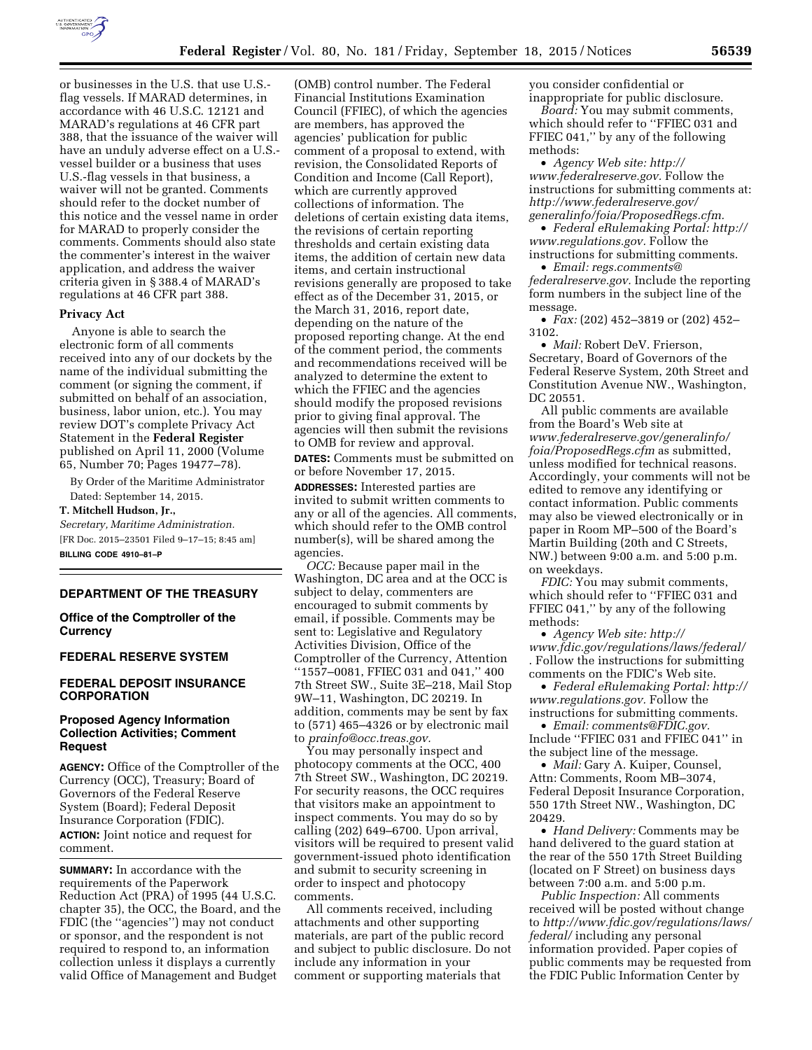

or businesses in the U.S. that use U.S. flag vessels. If MARAD determines, in accordance with 46 U.S.C. 12121 and MARAD's regulations at 46 CFR part 388, that the issuance of the waiver will have an unduly adverse effect on a U.S. vessel builder or a business that uses U.S.-flag vessels in that business, a waiver will not be granted. Comments should refer to the docket number of this notice and the vessel name in order for MARAD to properly consider the comments. Comments should also state the commenter's interest in the waiver application, and address the waiver criteria given in § 388.4 of MARAD's regulations at 46 CFR part 388.

### **Privacy Act**

Anyone is able to search the electronic form of all comments received into any of our dockets by the name of the individual submitting the comment (or signing the comment, if submitted on behalf of an association, business, labor union, etc.). You may review DOT's complete Privacy Act Statement in the **Federal Register**  published on April 11, 2000 (Volume 65, Number 70; Pages 19477–78).

By Order of the Maritime Administrator Dated: September 14, 2015.

**T. Mitchell Hudson, Jr.,** 

*Secretary, Maritime Administration.*  [FR Doc. 2015–23501 Filed 9–17–15; 8:45 am]

**BILLING CODE 4910–81–P** 

#### **DEPARTMENT OF THE TREASURY**

**Office of the Comptroller of the Currency** 

#### **FEDERAL RESERVE SYSTEM**

## **FEDERAL DEPOSIT INSURANCE CORPORATION**

## **Proposed Agency Information Collection Activities; Comment Request**

**AGENCY:** Office of the Comptroller of the Currency (OCC), Treasury; Board of Governors of the Federal Reserve System (Board); Federal Deposit Insurance Corporation (FDIC). **ACTION:** Joint notice and request for comment.

**SUMMARY:** In accordance with the requirements of the Paperwork Reduction Act (PRA) of 1995 (44 U.S.C. chapter 35), the OCC, the Board, and the FDIC (the ''agencies'') may not conduct or sponsor, and the respondent is not required to respond to, an information collection unless it displays a currently valid Office of Management and Budget

(OMB) control number. The Federal Financial Institutions Examination Council (FFIEC), of which the agencies are members, has approved the agencies' publication for public comment of a proposal to extend, with revision, the Consolidated Reports of Condition and Income (Call Report), which are currently approved collections of information. The deletions of certain existing data items, the revisions of certain reporting thresholds and certain existing data items, the addition of certain new data items, and certain instructional revisions generally are proposed to take effect as of the December 31, 2015, or the March 31, 2016, report date, depending on the nature of the proposed reporting change. At the end of the comment period, the comments and recommendations received will be analyzed to determine the extent to which the FFIEC and the agencies should modify the proposed revisions prior to giving final approval. The agencies will then submit the revisions to OMB for review and approval.

**DATES:** Comments must be submitted on or before November 17, 2015.

**ADDRESSES:** Interested parties are invited to submit written comments to any or all of the agencies. All comments, which should refer to the OMB control number(s), will be shared among the agencies.

*OCC:* Because paper mail in the Washington, DC area and at the OCC is subject to delay, commenters are encouraged to submit comments by email, if possible. Comments may be sent to: Legislative and Regulatory Activities Division, Office of the Comptroller of the Currency, Attention ''1557–0081, FFIEC 031 and 041,'' 400 7th Street SW., Suite 3E–218, Mail Stop 9W–11, Washington, DC 20219. In addition, comments may be sent by fax to (571) 465–4326 or by electronic mail to *[prainfo@occ.treas.gov.](mailto:prainfo@occ.treas.gov)* 

You may personally inspect and photocopy comments at the OCC, 400 7th Street SW., Washington, DC 20219. For security reasons, the OCC requires that visitors make an appointment to inspect comments. You may do so by calling (202) 649–6700. Upon arrival, visitors will be required to present valid government-issued photo identification and submit to security screening in order to inspect and photocopy comments.

All comments received, including attachments and other supporting materials, are part of the public record and subject to public disclosure. Do not include any information in your comment or supporting materials that

you consider confidential or inappropriate for public disclosure.

*Board:* You may submit comments, which should refer to ''FFIEC 031 and FFIEC 041,'' by any of the following methods:

• *Agency Web site: [http://](http://www.federalreserve.gov) [www.federalreserve.gov.](http://www.federalreserve.gov)* Follow the instructions for submitting comments at: *[http://www.federalreserve.gov/](http://www.federalreserve.gov/generalinfo/foia/ProposedRegs.cfm) [generalinfo/foia/ProposedRegs.cfm.](http://www.federalreserve.gov/generalinfo/foia/ProposedRegs.cfm)* 

• *Federal eRulemaking Portal: [http://](http://www.regulations.gov)  [www.regulations.gov.](http://www.regulations.gov)* Follow the instructions for submitting comments.

• *Email: [regs.comments@](mailto:regs.comments@federalreserve.gov) [federalreserve.gov.](mailto:regs.comments@federalreserve.gov)* Include the reporting form numbers in the subject line of the message.

• *Fax:* (202) 452–3819 or (202) 452– 3102.

• *Mail:* Robert DeV. Frierson, Secretary, Board of Governors of the Federal Reserve System, 20th Street and Constitution Avenue NW., Washington, DC 20551.

All public comments are available from the Board's Web site at *[www.federalreserve.gov/generalinfo/](http://www.federalreserve.gov/generalinfo/foia/ProposedRegs.cfm) [foia/ProposedRegs.cfm](http://www.federalreserve.gov/generalinfo/foia/ProposedRegs.cfm)* as submitted, unless modified for technical reasons. Accordingly, your comments will not be edited to remove any identifying or contact information. Public comments may also be viewed electronically or in paper in Room MP–500 of the Board's Martin Building (20th and C Streets, NW.) between 9:00 a.m. and 5:00 p.m. on weekdays.

*FDIC:* You may submit comments, which should refer to ''FFIEC 031 and FFIEC 041,'' by any of the following methods:

• *Agency Web site: [http://](http://www.fdic.gov/regulations/laws/federal/) [www.fdic.gov/regulations/laws/federal/](http://www.fdic.gov/regulations/laws/federal/)*  . Follow the instructions for submitting comments on the FDIC's Web site.

• *Federal eRulemaking Portal: [http://](http://www.regulations.gov)  [www.regulations.gov.](http://www.regulations.gov)* Follow the instructions for submitting comments.

• *Email: [comments@FDIC.gov.](mailto:comments@FDIC.gov)*  Include ''FFIEC 031 and FFIEC 041'' in the subject line of the message.

• *Mail:* Gary A. Kuiper, Counsel, Attn: Comments, Room MB–3074, Federal Deposit Insurance Corporation, 550 17th Street NW., Washington, DC 20429.

• *Hand Delivery:* Comments may be hand delivered to the guard station at the rear of the 550 17th Street Building (located on F Street) on business days between 7:00 a.m. and 5:00 p.m.

*Public Inspection:* All comments received will be posted without change to *[http://www.fdic.gov/regulations/laws/](http://www.fdic.gov/regulations/laws/federal/)  [federal/](http://www.fdic.gov/regulations/laws/federal/)* including any personal information provided. Paper copies of public comments may be requested from the FDIC Public Information Center by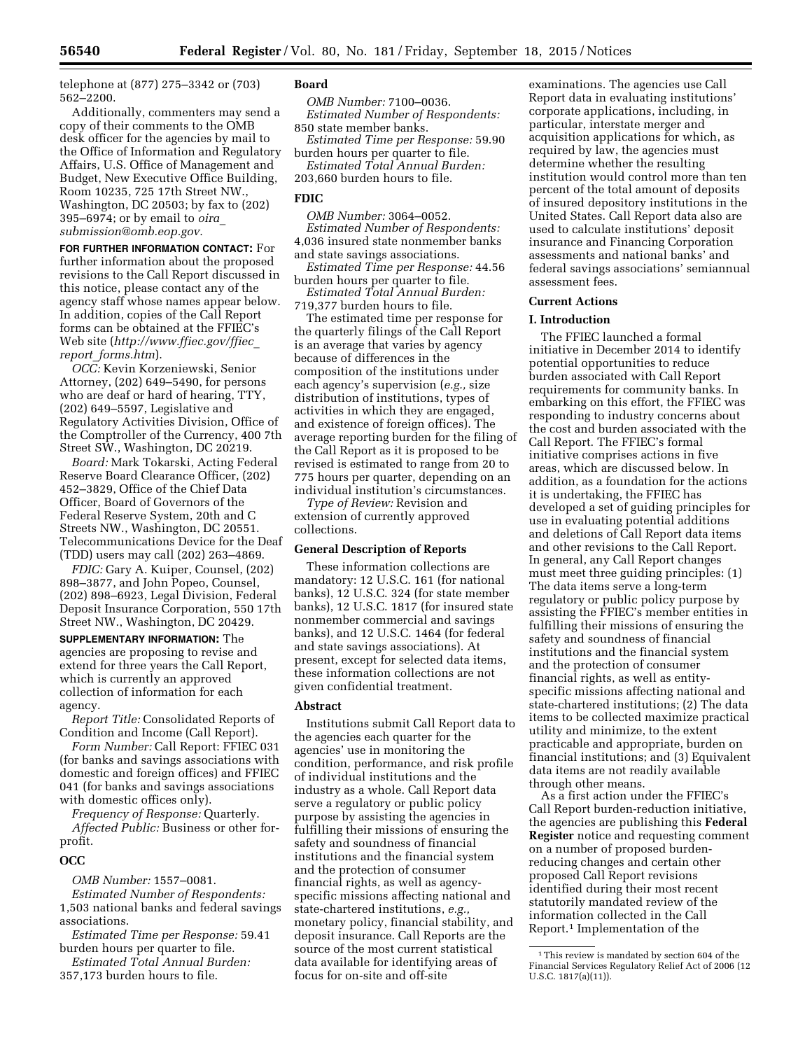telephone at (877) 275–3342 or (703) 562–2200.

Additionally, commenters may send a copy of their comments to the OMB desk officer for the agencies by mail to the Office of Information and Regulatory Affairs, U.S. Office of Management and Budget, New Executive Office Building, Room 10235, 725 17th Street NW., Washington, DC 20503; by fax to (202) 395–6974; or by email to *[oira](mailto:oira_submission@omb.eop.gov)*\_ *[submission@omb.eop.gov.](mailto:oira_submission@omb.eop.gov)* 

**FOR FURTHER INFORMATION CONTACT:** For further information about the proposed revisions to the Call Report discussed in this notice, please contact any of the agency staff whose names appear below. In addition, copies of the Call Report forms can be obtained at the FFIEC's Web site (*[http://www.ffiec.gov/ffiec](http://www.ffiec.gov/ffiec_report_forms.htm)*\_ *report*\_*[forms.htm](http://www.ffiec.gov/ffiec_report_forms.htm)*).

*OCC:* Kevin Korzeniewski, Senior Attorney, (202) 649–5490, for persons who are deaf or hard of hearing, TTY, (202) 649–5597, Legislative and Regulatory Activities Division, Office of the Comptroller of the Currency, 400 7th Street SW., Washington, DC 20219.

*Board:* Mark Tokarski, Acting Federal Reserve Board Clearance Officer, (202) 452–3829, Office of the Chief Data Officer, Board of Governors of the Federal Reserve System, 20th and C Streets NW., Washington, DC 20551. Telecommunications Device for the Deaf (TDD) users may call (202) 263–4869.

*FDIC:* Gary A. Kuiper, Counsel, (202) 898–3877, and John Popeo, Counsel, (202) 898–6923, Legal Division, Federal Deposit Insurance Corporation, 550 17th Street NW., Washington, DC 20429.

**SUPPLEMENTARY INFORMATION:** The agencies are proposing to revise and extend for three years the Call Report, which is currently an approved collection of information for each agency.

*Report Title:* Consolidated Reports of Condition and Income (Call Report).

*Form Number:* Call Report: FFIEC 031 (for banks and savings associations with domestic and foreign offices) and FFIEC 041 (for banks and savings associations with domestic offices only).

*Frequency of Response:* Quarterly. *Affected Public:* Business or other forprofit.

### **OCC**

*OMB Number:* 1557–0081.

*Estimated Number of Respondents:*  1,503 national banks and federal savings associations.

*Estimated Time per Response:* 59.41 burden hours per quarter to file.

*Estimated Total Annual Burden:*  357,173 burden hours to file.

# **Board**

*OMB Number:* 7100–0036. *Estimated Number of Respondents:*  850 state member banks.

*Estimated Time per Response:* 59.90 burden hours per quarter to file.

*Estimated Total Annual Burden:*  203,660 burden hours to file.

### **FDIC**

*OMB Number:* 3064–0052. *Estimated Number of Respondents:*  4,036 insured state nonmember banks and state savings associations.

*Estimated Time per Response:* 44.56 burden hours per quarter to file.

*Estimated Total Annual Burden:*  719,377 burden hours to file.

The estimated time per response for the quarterly filings of the Call Report is an average that varies by agency because of differences in the composition of the institutions under each agency's supervision (*e.g.,* size distribution of institutions, types of activities in which they are engaged, and existence of foreign offices). The average reporting burden for the filing of the Call Report as it is proposed to be revised is estimated to range from 20 to 775 hours per quarter, depending on an individual institution's circumstances.

*Type of Review:* Revision and extension of currently approved collections.

### **General Description of Reports**

These information collections are mandatory: 12 U.S.C. 161 (for national banks), 12 U.S.C. 324 (for state member banks), 12 U.S.C. 1817 (for insured state nonmember commercial and savings banks), and 12 U.S.C. 1464 (for federal and state savings associations). At present, except for selected data items, these information collections are not given confidential treatment.

### **Abstract**

Institutions submit Call Report data to the agencies each quarter for the agencies' use in monitoring the condition, performance, and risk profile of individual institutions and the industry as a whole. Call Report data serve a regulatory or public policy purpose by assisting the agencies in fulfilling their missions of ensuring the safety and soundness of financial institutions and the financial system and the protection of consumer financial rights, as well as agencyspecific missions affecting national and state-chartered institutions, *e.g.,*  monetary policy, financial stability, and deposit insurance. Call Reports are the source of the most current statistical data available for identifying areas of focus for on-site and off-site

examinations. The agencies use Call Report data in evaluating institutions' corporate applications, including, in particular, interstate merger and acquisition applications for which, as required by law, the agencies must determine whether the resulting institution would control more than ten percent of the total amount of deposits of insured depository institutions in the United States. Call Report data also are used to calculate institutions' deposit insurance and Financing Corporation assessments and national banks' and federal savings associations' semiannual assessment fees.

### **Current Actions**

# **I. Introduction**

The FFIEC launched a formal initiative in December 2014 to identify potential opportunities to reduce burden associated with Call Report requirements for community banks. In embarking on this effort, the FFIEC was responding to industry concerns about the cost and burden associated with the Call Report. The FFIEC's formal initiative comprises actions in five areas, which are discussed below. In addition, as a foundation for the actions it is undertaking, the FFIEC has developed a set of guiding principles for use in evaluating potential additions and deletions of Call Report data items and other revisions to the Call Report. In general, any Call Report changes must meet three guiding principles: (1) The data items serve a long-term regulatory or public policy purpose by assisting the FFIEC's member entities in fulfilling their missions of ensuring the safety and soundness of financial institutions and the financial system and the protection of consumer financial rights, as well as entityspecific missions affecting national and state-chartered institutions; (2) The data items to be collected maximize practical utility and minimize, to the extent practicable and appropriate, burden on financial institutions; and (3) Equivalent data items are not readily available through other means.

As a first action under the FFIEC's Call Report burden-reduction initiative, the agencies are publishing this **Federal Register** notice and requesting comment on a number of proposed burdenreducing changes and certain other proposed Call Report revisions identified during their most recent statutorily mandated review of the information collected in the Call Report.1 Implementation of the

<sup>&</sup>lt;sup>1</sup>This review is mandated by section 604 of the Financial Services Regulatory Relief Act of 2006 (12 U.S.C. 1817(a)(11)).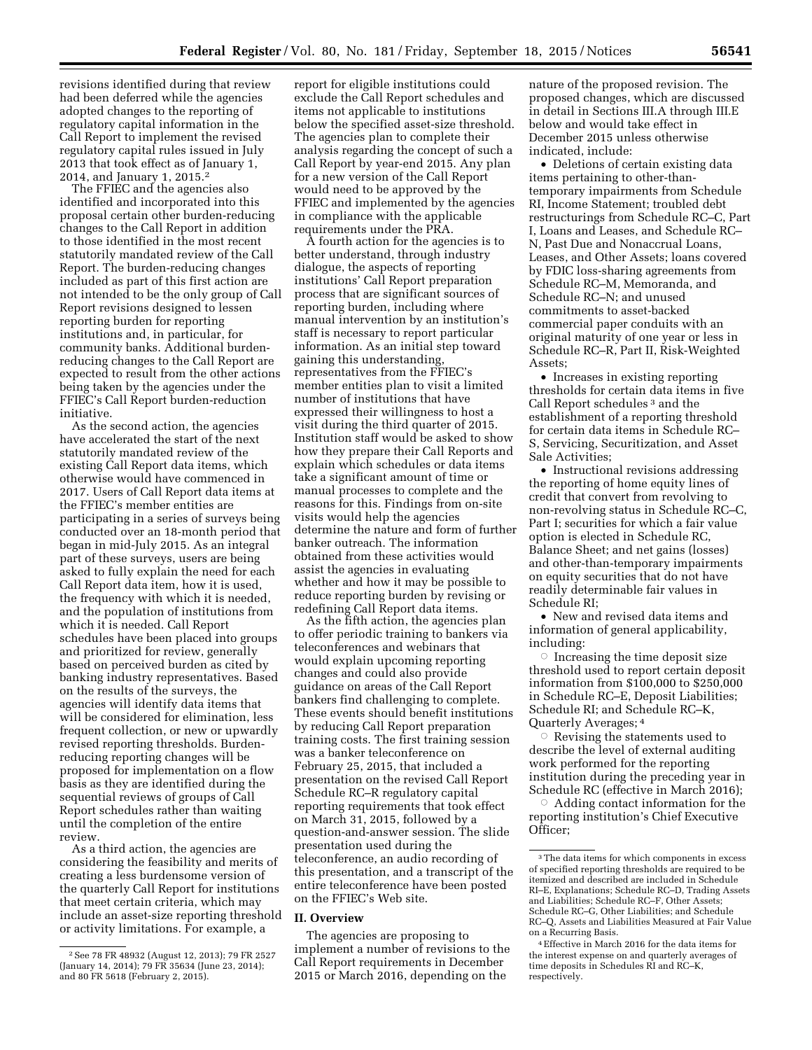revisions identified during that review had been deferred while the agencies adopted changes to the reporting of regulatory capital information in the Call Report to implement the revised regulatory capital rules issued in July 2013 that took effect as of January 1, 2014, and January 1, 2015.2

The FFIEC and the agencies also identified and incorporated into this proposal certain other burden-reducing changes to the Call Report in addition to those identified in the most recent statutorily mandated review of the Call Report. The burden-reducing changes included as part of this first action are not intended to be the only group of Call Report revisions designed to lessen reporting burden for reporting institutions and, in particular, for community banks. Additional burdenreducing changes to the Call Report are expected to result from the other actions being taken by the agencies under the FFIEC's Call Report burden-reduction initiative.

As the second action, the agencies have accelerated the start of the next statutorily mandated review of the existing Call Report data items, which otherwise would have commenced in 2017. Users of Call Report data items at the FFIEC's member entities are participating in a series of surveys being conducted over an 18-month period that began in mid-July 2015. As an integral part of these surveys, users are being asked to fully explain the need for each Call Report data item, how it is used, the frequency with which it is needed, and the population of institutions from which it is needed. Call Report schedules have been placed into groups and prioritized for review, generally based on perceived burden as cited by banking industry representatives. Based on the results of the surveys, the agencies will identify data items that will be considered for elimination, less frequent collection, or new or upwardly revised reporting thresholds. Burdenreducing reporting changes will be proposed for implementation on a flow basis as they are identified during the sequential reviews of groups of Call Report schedules rather than waiting until the completion of the entire review.

As a third action, the agencies are considering the feasibility and merits of creating a less burdensome version of the quarterly Call Report for institutions that meet certain criteria, which may include an asset-size reporting threshold or activity limitations. For example, a

report for eligible institutions could exclude the Call Report schedules and items not applicable to institutions below the specified asset-size threshold. The agencies plan to complete their analysis regarding the concept of such a Call Report by year-end 2015. Any plan for a new version of the Call Report would need to be approved by the FFIEC and implemented by the agencies in compliance with the applicable requirements under the PRA.

A fourth action for the agencies is to better understand, through industry dialogue, the aspects of reporting institutions' Call Report preparation process that are significant sources of reporting burden, including where manual intervention by an institution's staff is necessary to report particular information. As an initial step toward gaining this understanding, representatives from the FFIEC's member entities plan to visit a limited number of institutions that have expressed their willingness to host a visit during the third quarter of 2015. Institution staff would be asked to show how they prepare their Call Reports and explain which schedules or data items take a significant amount of time or manual processes to complete and the reasons for this. Findings from on-site visits would help the agencies determine the nature and form of further banker outreach. The information obtained from these activities would assist the agencies in evaluating whether and how it may be possible to reduce reporting burden by revising or redefining Call Report data items.

As the fifth action, the agencies plan to offer periodic training to bankers via teleconferences and webinars that would explain upcoming reporting changes and could also provide guidance on areas of the Call Report bankers find challenging to complete. These events should benefit institutions by reducing Call Report preparation training costs. The first training session was a banker teleconference on February 25, 2015, that included a presentation on the revised Call Report Schedule RC–R regulatory capital reporting requirements that took effect on March 31, 2015, followed by a question-and-answer session. The slide presentation used during the teleconference, an audio recording of this presentation, and a transcript of the entire teleconference have been posted on the FFIEC's Web site.

#### **II. Overview**

The agencies are proposing to implement a number of revisions to the Call Report requirements in December 2015 or March 2016, depending on the

nature of the proposed revision. The proposed changes, which are discussed in detail in Sections III.A through III.E below and would take effect in December 2015 unless otherwise indicated, include:

• Deletions of certain existing data items pertaining to other-thantemporary impairments from Schedule RI, Income Statement; troubled debt restructurings from Schedule RC–C, Part I, Loans and Leases, and Schedule RC– N, Past Due and Nonaccrual Loans, Leases, and Other Assets; loans covered by FDIC loss-sharing agreements from Schedule RC–M, Memoranda, and Schedule RC–N; and unused commitments to asset-backed commercial paper conduits with an original maturity of one year or less in Schedule RC–R, Part II, Risk-Weighted Assets;

• Increases in existing reporting thresholds for certain data items in five Call Report schedules 3 and the establishment of a reporting threshold for certain data items in Schedule RC– S, Servicing, Securitization, and Asset Sale Activities;

• Instructional revisions addressing the reporting of home equity lines of credit that convert from revolving to non-revolving status in Schedule RC–C, Part I; securities for which a fair value option is elected in Schedule RC, Balance Sheet; and net gains (losses) and other-than-temporary impairments on equity securities that do not have readily determinable fair values in Schedule RI;

• New and revised data items and information of general applicability, including:

 $\circ$  Increasing the time deposit size threshold used to report certain deposit information from \$100,000 to \$250,000 in Schedule RC–E, Deposit Liabilities; Schedule RI; and Schedule RC–K, Quarterly Averages; 4

 $\circ$  Revising the statements used to describe the level of external auditing work performed for the reporting institution during the preceding year in Schedule RC (effective in March 2016);

 $\circ$  Adding contact information for the reporting institution's Chief Executive Officer;

<sup>2</sup>See 78 FR 48932 (August 12, 2013); 79 FR 2527 (January 14, 2014); 79 FR 35634 (June 23, 2014); and 80 FR 5618 (February 2, 2015).

 $^{\rm 3}$  The data items for which components in excess of specified reporting thresholds are required to be itemized and described are included in Schedule RI–E, Explanations; Schedule RC–D, Trading Assets and Liabilities; Schedule RC–F, Other Assets; Schedule RC–G, Other Liabilities; and Schedule RC–Q, Assets and Liabilities Measured at Fair Value on a Recurring Basis.

<sup>4</sup>Effective in March 2016 for the data items for the interest expense on and quarterly averages of time deposits in Schedules RI and RC–K, respectively.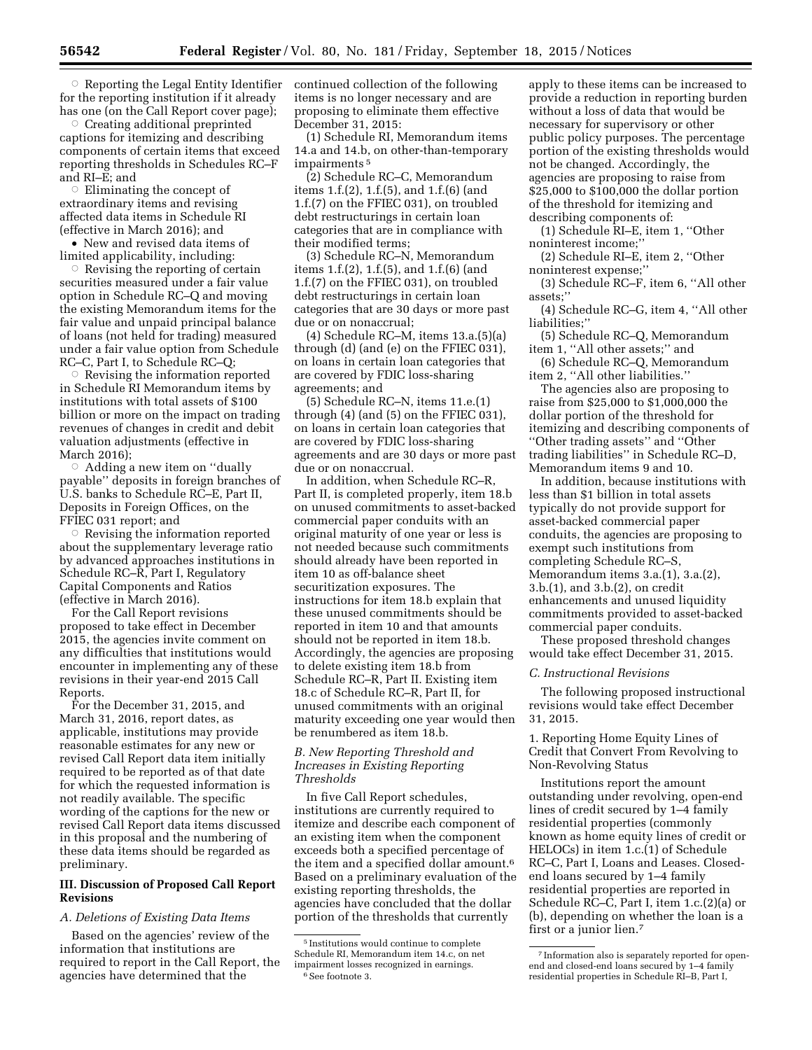**Reporting the Legal Entity Identifier** for the reporting institution if it already has one (on the Call Report cover page);

 $\circ$  Creating additional preprinted captions for itemizing and describing components of certain items that exceed reporting thresholds in Schedules RC–F and RI–E; and

 $\circ$  Eliminating the concept of extraordinary items and revising affected data items in Schedule RI (effective in March 2016); and

• New and revised data items of limited applicability, including:

 $\circ$  Revising the reporting of certain securities measured under a fair value option in Schedule RC–Q and moving the existing Memorandum items for the fair value and unpaid principal balance of loans (not held for trading) measured under a fair value option from Schedule RC–C, Part I, to Schedule RC–Q;

 $\circ$  Revising the information reported in Schedule RI Memorandum items by institutions with total assets of \$100 billion or more on the impact on trading revenues of changes in credit and debit valuation adjustments (effective in March 2016);

 $\circ$  Adding a new item on "dually payable'' deposits in foreign branches of U.S. banks to Schedule RC–E, Part II, Deposits in Foreign Offices, on the FFIEC 031 report; and

 $\circ$  Revising the information reported about the supplementary leverage ratio by advanced approaches institutions in Schedule RC–R, Part I, Regulatory Capital Components and Ratios (effective in March 2016).

For the Call Report revisions proposed to take effect in December 2015, the agencies invite comment on any difficulties that institutions would encounter in implementing any of these revisions in their year-end 2015 Call Reports.

For the December 31, 2015, and March 31, 2016, report dates, as applicable, institutions may provide reasonable estimates for any new or revised Call Report data item initially required to be reported as of that date for which the requested information is not readily available. The specific wording of the captions for the new or revised Call Report data items discussed in this proposal and the numbering of these data items should be regarded as preliminary.

# **III. Discussion of Proposed Call Report Revisions**

# *A. Deletions of Existing Data Items*

Based on the agencies' review of the information that institutions are required to report in the Call Report, the agencies have determined that the

continued collection of the following items is no longer necessary and are proposing to eliminate them effective December 31, 2015:

(1) Schedule RI, Memorandum items 14.a and 14.b, on other-than-temporary impairments 5

(2) Schedule RC–C, Memorandum items 1.f.(2), 1.f.(5), and 1.f.(6) (and 1.f.(7) on the FFIEC 031), on troubled debt restructurings in certain loan categories that are in compliance with their modified terms;

(3) Schedule RC–N, Memorandum items 1.f.(2), 1.f.(5), and 1.f.(6) (and 1.f.(7) on the FFIEC 031), on troubled debt restructurings in certain loan categories that are 30 days or more past due or on nonaccrual;

(4) Schedule RC–M, items 13.a.(5)(a) through (d) (and (e) on the FFIEC 031), on loans in certain loan categories that are covered by FDIC loss-sharing agreements; and

(5) Schedule RC–N, items 11.e.(1) through (4) (and (5) on the FFIEC 031), on loans in certain loan categories that are covered by FDIC loss-sharing agreements and are 30 days or more past due or on nonaccrual.

In addition, when Schedule RC–R, Part II, is completed properly, item 18.b on unused commitments to asset-backed commercial paper conduits with an original maturity of one year or less is not needed because such commitments should already have been reported in item 10 as off-balance sheet securitization exposures. The instructions for item 18.b explain that these unused commitments should be reported in item 10 and that amounts should not be reported in item 18.b. Accordingly, the agencies are proposing to delete existing item 18.b from Schedule RC–R, Part II. Existing item 18.c of Schedule RC–R, Part II, for unused commitments with an original maturity exceeding one year would then be renumbered as item 18.b.

# *B. New Reporting Threshold and Increases in Existing Reporting Thresholds*

In five Call Report schedules, institutions are currently required to itemize and describe each component of an existing item when the component exceeds both a specified percentage of the item and a specified dollar amount.6 Based on a preliminary evaluation of the existing reporting thresholds, the agencies have concluded that the dollar portion of the thresholds that currently

apply to these items can be increased to provide a reduction in reporting burden without a loss of data that would be necessary for supervisory or other public policy purposes. The percentage portion of the existing thresholds would not be changed. Accordingly, the agencies are proposing to raise from \$25,000 to \$100,000 the dollar portion of the threshold for itemizing and describing components of:

(1) Schedule RI–E, item 1, ''Other noninterest income;''

(2) Schedule RI–E, item 2, ''Other noninterest expense;''

(3) Schedule RC–F, item 6, ''All other assets;''

(4) Schedule RC–G, item 4, ''All other liabilities;''

(5) Schedule RC–Q, Memorandum item 1, ''All other assets;'' and

(6) Schedule RC–Q, Memorandum item 2, "All other liabilities."

The agencies also are proposing to raise from \$25,000 to \$1,000,000 the dollar portion of the threshold for itemizing and describing components of ''Other trading assets'' and ''Other trading liabilities'' in Schedule RC–D, Memorandum items 9 and 10.

In addition, because institutions with less than \$1 billion in total assets typically do not provide support for asset-backed commercial paper conduits, the agencies are proposing to exempt such institutions from completing Schedule RC–S, Memorandum items 3.a.(1), 3.a.(2), 3.b.(1), and 3.b.(2), on credit enhancements and unused liquidity commitments provided to asset-backed commercial paper conduits.

These proposed threshold changes would take effect December 31, 2015.

### *C. Instructional Revisions*

The following proposed instructional revisions would take effect December 31, 2015.

1. Reporting Home Equity Lines of Credit that Convert From Revolving to Non-Revolving Status

Institutions report the amount outstanding under revolving, open-end lines of credit secured by 1–4 family residential properties (commonly known as home equity lines of credit or HELOCs) in item 1.c.(1) of Schedule RC–C, Part I, Loans and Leases. Closedend loans secured by 1–4 family residential properties are reported in Schedule RC–C, Part I, item 1.c.(2)(a) or (b), depending on whether the loan is a first or a junior lien.7

<sup>5</sup> Institutions would continue to complete Schedule RI, Memorandum item 14.c, on net impairment losses recognized in earnings. 6See footnote 3.

<sup>7</sup> Information also is separately reported for openend and closed-end loans secured by 1–4 family residential properties in Schedule RI–B, Part I,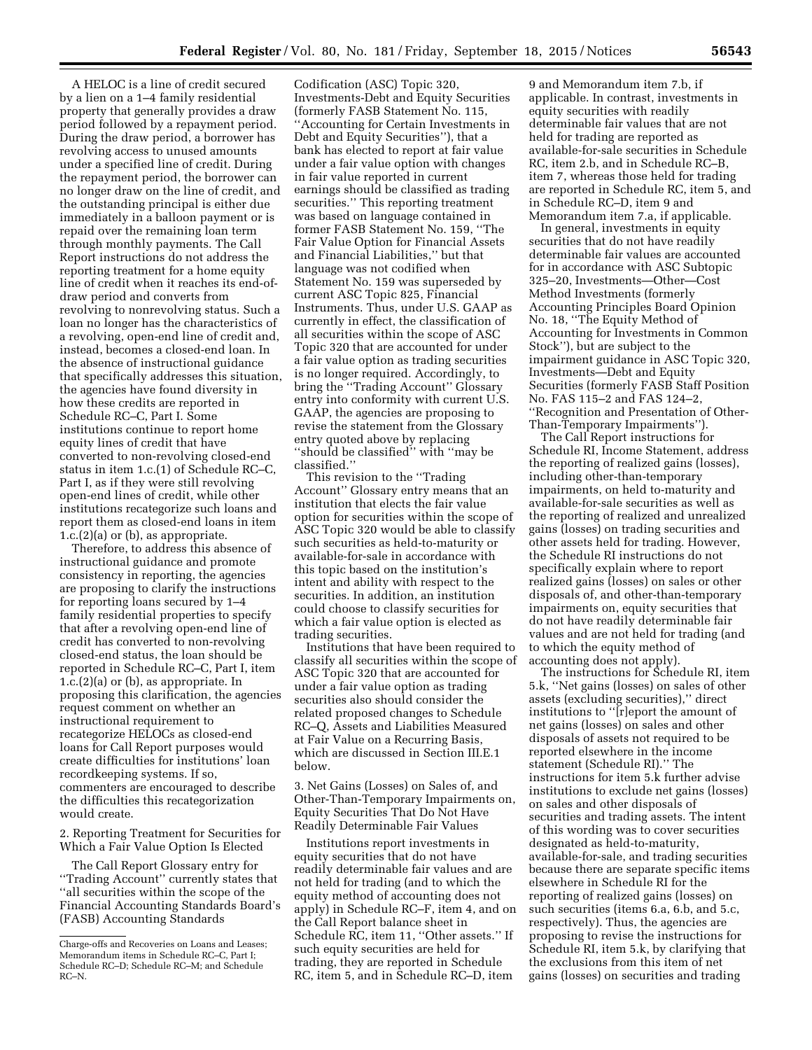A HELOC is a line of credit secured by a lien on a 1–4 family residential property that generally provides a draw period followed by a repayment period. During the draw period, a borrower has revolving access to unused amounts under a specified line of credit. During the repayment period, the borrower can no longer draw on the line of credit, and the outstanding principal is either due immediately in a balloon payment or is repaid over the remaining loan term through monthly payments. The Call Report instructions do not address the reporting treatment for a home equity line of credit when it reaches its end-ofdraw period and converts from revolving to nonrevolving status. Such a loan no longer has the characteristics of a revolving, open-end line of credit and, instead, becomes a closed-end loan. In the absence of instructional guidance that specifically addresses this situation, the agencies have found diversity in how these credits are reported in Schedule RC–C, Part I. Some institutions continue to report home equity lines of credit that have converted to non-revolving closed-end status in item 1.c.(1) of Schedule RC–C, Part I, as if they were still revolving open-end lines of credit, while other institutions recategorize such loans and report them as closed-end loans in item 1.c.(2)(a) or (b), as appropriate.

Therefore, to address this absence of instructional guidance and promote consistency in reporting, the agencies are proposing to clarify the instructions for reporting loans secured by 1–4 family residential properties to specify that after a revolving open-end line of credit has converted to non-revolving closed-end status, the loan should be reported in Schedule RC–C, Part I, item 1.c.(2)(a) or (b), as appropriate. In proposing this clarification, the agencies request comment on whether an instructional requirement to recategorize HELOCs as closed-end loans for Call Report purposes would create difficulties for institutions' loan recordkeeping systems. If so, commenters are encouraged to describe the difficulties this recategorization would create.

2. Reporting Treatment for Securities for Which a Fair Value Option Is Elected

The Call Report Glossary entry for ''Trading Account'' currently states that ''all securities within the scope of the Financial Accounting Standards Board's (FASB) Accounting Standards

Codification (ASC) Topic 320, Investments-Debt and Equity Securities (formerly FASB Statement No. 115, ''Accounting for Certain Investments in Debt and Equity Securities''), that a bank has elected to report at fair value under a fair value option with changes in fair value reported in current earnings should be classified as trading securities.'' This reporting treatment was based on language contained in former FASB Statement No. 159, ''The Fair Value Option for Financial Assets and Financial Liabilities,'' but that language was not codified when Statement No. 159 was superseded by current ASC Topic 825, Financial Instruments. Thus, under U.S. GAAP as currently in effect, the classification of all securities within the scope of ASC Topic 320 that are accounted for under a fair value option as trading securities is no longer required. Accordingly, to bring the ''Trading Account'' Glossary entry into conformity with current U.S. GAAP, the agencies are proposing to revise the statement from the Glossary entry quoted above by replacing ''should be classified'' with ''may be classified.''

This revision to the ''Trading Account'' Glossary entry means that an institution that elects the fair value option for securities within the scope of ASC Topic 320 would be able to classify such securities as held-to-maturity or available-for-sale in accordance with this topic based on the institution's intent and ability with respect to the securities. In addition, an institution could choose to classify securities for which a fair value option is elected as trading securities.

Institutions that have been required to classify all securities within the scope of ASC Topic 320 that are accounted for under a fair value option as trading securities also should consider the related proposed changes to Schedule RC–Q, Assets and Liabilities Measured at Fair Value on a Recurring Basis, which are discussed in Section III.E.1 below.

3. Net Gains (Losses) on Sales of, and Other-Than-Temporary Impairments on, Equity Securities That Do Not Have Readily Determinable Fair Values

Institutions report investments in equity securities that do not have readily determinable fair values and are not held for trading (and to which the equity method of accounting does not apply) in Schedule RC–F, item 4, and on the Call Report balance sheet in Schedule RC, item 11, ''Other assets.'' If such equity securities are held for trading, they are reported in Schedule RC, item 5, and in Schedule RC–D, item

9 and Memorandum item 7.b, if applicable. In contrast, investments in equity securities with readily determinable fair values that are not held for trading are reported as available-for-sale securities in Schedule RC, item 2.b, and in Schedule RC–B, item 7, whereas those held for trading are reported in Schedule RC, item 5, and in Schedule RC–D, item 9 and Memorandum item 7.a, if applicable.

In general, investments in equity securities that do not have readily determinable fair values are accounted for in accordance with ASC Subtopic 325–20, Investments—Other—Cost Method Investments (formerly Accounting Principles Board Opinion No. 18, ''The Equity Method of Accounting for Investments in Common Stock''), but are subject to the impairment guidance in ASC Topic 320, Investments—Debt and Equity Securities (formerly FASB Staff Position No. FAS 115–2 and FAS 124–2, ''Recognition and Presentation of Other-Than-Temporary Impairments'').

The Call Report instructions for Schedule RI, Income Statement, address the reporting of realized gains (losses), including other-than-temporary impairments, on held to-maturity and available-for-sale securities as well as the reporting of realized and unrealized gains (losses) on trading securities and other assets held for trading. However, the Schedule RI instructions do not specifically explain where to report realized gains (losses) on sales or other disposals of, and other-than-temporary impairments on, equity securities that do not have readily determinable fair values and are not held for trading (and to which the equity method of accounting does not apply).

The instructions for Schedule RI, item 5.k, ''Net gains (losses) on sales of other assets (excluding securities),'' direct institutions to ''[r]eport the amount of net gains (losses) on sales and other disposals of assets not required to be reported elsewhere in the income statement (Schedule RI).'' The instructions for item 5.k further advise institutions to exclude net gains (losses) on sales and other disposals of securities and trading assets. The intent of this wording was to cover securities designated as held-to-maturity, available-for-sale, and trading securities because there are separate specific items elsewhere in Schedule RI for the reporting of realized gains (losses) on such securities (items 6.a, 6.b, and 5.c, respectively). Thus, the agencies are proposing to revise the instructions for Schedule RI, item 5.k, by clarifying that the exclusions from this item of net gains (losses) on securities and trading

Charge-offs and Recoveries on Loans and Leases; Memorandum items in Schedule RC–C, Part I; Schedule RC–D; Schedule RC–M; and Schedule RC–N.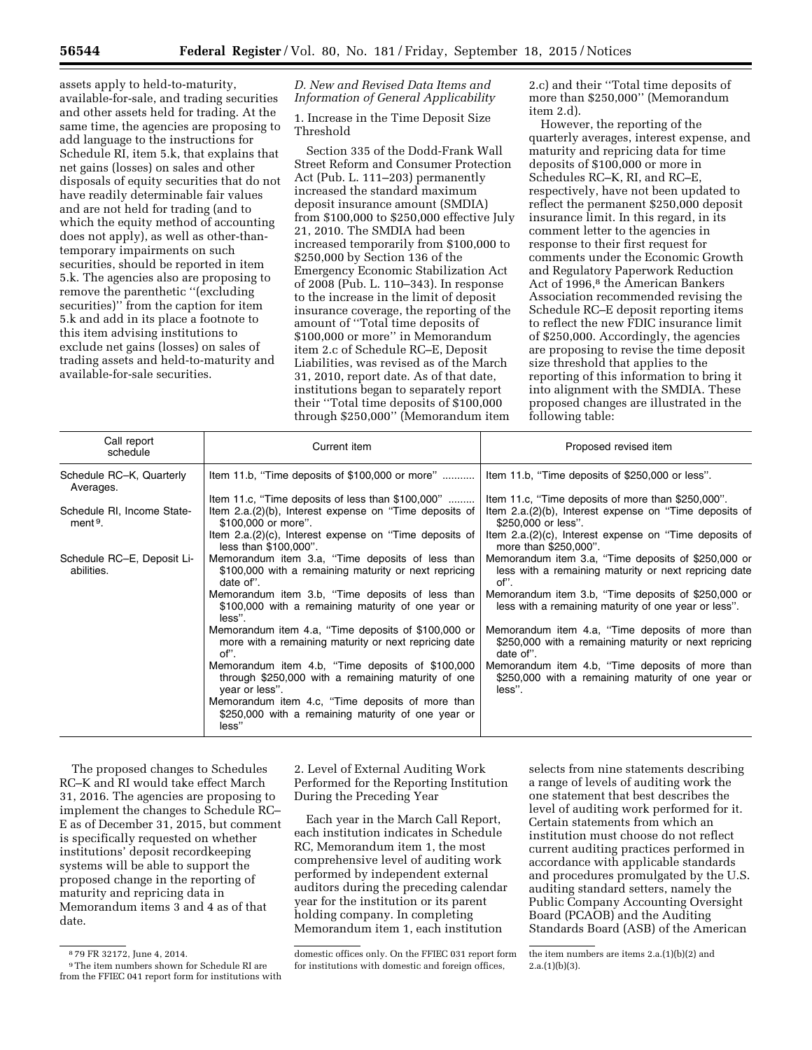assets apply to held-to-maturity, available-for-sale, and trading securities and other assets held for trading. At the same time, the agencies are proposing to add language to the instructions for Schedule RI, item 5.k, that explains that net gains (losses) on sales and other disposals of equity securities that do not have readily determinable fair values and are not held for trading (and to which the equity method of accounting does not apply), as well as other-thantemporary impairments on such securities, should be reported in item 5.k. The agencies also are proposing to remove the parenthetic ''(excluding securities)'' from the caption for item 5.k and add in its place a footnote to this item advising institutions to exclude net gains (losses) on sales of trading assets and held-to-maturity and available-for-sale securities.

# *D. New and Revised Data Items and Information of General Applicability*

1. Increase in the Time Deposit Size Threshold

Section 335 of the Dodd-Frank Wall Street Reform and Consumer Protection Act (Pub. L. 111–203) permanently increased the standard maximum deposit insurance amount (SMDIA) from \$100,000 to \$250,000 effective July 21, 2010. The SMDIA had been increased temporarily from \$100,000 to \$250,000 by Section 136 of the Emergency Economic Stabilization Act of 2008 (Pub. L. 110–343). In response to the increase in the limit of deposit insurance coverage, the reporting of the amount of ''Total time deposits of \$100,000 or more'' in Memorandum item 2.c of Schedule RC–E, Deposit Liabilities, was revised as of the March 31, 2010, report date. As of that date, institutions began to separately report their ''Total time deposits of \$100,000 through \$250,000'' (Memorandum item

2.c) and their ''Total time deposits of more than \$250,000'' (Memorandum item 2.d).

However, the reporting of the quarterly averages, interest expense, and maturity and repricing data for time deposits of \$100,000 or more in Schedules RC–K, RI, and RC–E, respectively, have not been updated to reflect the permanent \$250,000 deposit insurance limit. In this regard, in its comment letter to the agencies in response to their first request for comments under the Economic Growth and Regulatory Paperwork Reduction Act of 1996,<sup>8</sup> the American Bankers Association recommended revising the Schedule RC–E deposit reporting items to reflect the new FDIC insurance limit of \$250,000. Accordingly, the agencies are proposing to revise the time deposit size threshold that applies to the reporting of this information to bring it into alignment with the SMDIA. These proposed changes are illustrated in the following table:

| Call report<br>schedule                           | Current item                                                                                                             | Proposed revised item                                                                                                  |
|---------------------------------------------------|--------------------------------------------------------------------------------------------------------------------------|------------------------------------------------------------------------------------------------------------------------|
| Schedule RC-K, Quarterly<br>Averages.             | Item 11.b, "Time deposits of \$100,000 or more"                                                                          | Item 11.b, "Time deposits of \$250,000 or less".                                                                       |
|                                                   | Item 11.c, "Time deposits of less than \$100,000"                                                                        | Item 11.c, "Time deposits of more than \$250,000".                                                                     |
| Schedule RI, Income State-<br>ment <sup>9</sup> . | Item 2.a.(2)(b), Interest expense on "Time deposits of<br>\$100,000 or more".                                            | Item 2.a.(2)(b), Interest expense on "Time deposits of<br>\$250,000 or less".                                          |
|                                                   | Item 2.a.(2)(c), Interest expense on "Time deposits of<br>less than \$100,000".                                          | Item 2.a.(2)(c), Interest expense on "Time deposits of<br>more than \$250,000".                                        |
| Schedule RC-E, Deposit Li-<br>abilities.          | Memorandum item 3.a, "Time deposits of less than<br>\$100,000 with a remaining maturity or next repricing<br>date of".   | Memorandum item 3.a, "Time deposits of \$250,000 or<br>less with a remaining maturity or next repricing date<br>of".   |
|                                                   | Memorandum item 3.b, "Time deposits of less than<br>\$100,000 with a remaining maturity of one year or<br>less".         | Memorandum item 3.b, "Time deposits of \$250,000 or<br>less with a remaining maturity of one year or less".            |
|                                                   | Memorandum item 4.a, "Time deposits of \$100,000 or<br>more with a remaining maturity or next repricing date<br>of".     | Memorandum item 4.a, "Time deposits of more than<br>\$250,000 with a remaining maturity or next repricing<br>date of". |
|                                                   | Memorandum item 4.b, "Time deposits of \$100,000<br>through \$250,000 with a remaining maturity of one<br>year or less". | Memorandum item 4.b, "Time deposits of more than<br>\$250,000 with a remaining maturity of one year or<br>less".       |
|                                                   | Memorandum item 4.c, "Time deposits of more than<br>\$250,000 with a remaining maturity of one year or<br>less"          |                                                                                                                        |

The proposed changes to Schedules RC–K and RI would take effect March 31, 2016. The agencies are proposing to implement the changes to Schedule RC– E as of December 31, 2015, but comment is specifically requested on whether institutions' deposit recordkeeping systems will be able to support the proposed change in the reporting of maturity and repricing data in Memorandum items 3 and 4 as of that date.

2. Level of External Auditing Work Performed for the Reporting Institution During the Preceding Year

Each year in the March Call Report, each institution indicates in Schedule RC, Memorandum item 1, the most comprehensive level of auditing work performed by independent external auditors during the preceding calendar year for the institution or its parent holding company. In completing Memorandum item 1, each institution

selects from nine statements describing a range of levels of auditing work the one statement that best describes the level of auditing work performed for it. Certain statements from which an institution must choose do not reflect current auditing practices performed in accordance with applicable standards and procedures promulgated by the U.S. auditing standard setters, namely the Public Company Accounting Oversight Board (PCAOB) and the Auditing Standards Board (ASB) of the American

<sup>8</sup> 79 FR 32172, June 4, 2014.

<sup>9</sup>The item numbers shown for Schedule RI are from the FFIEC 041 report form for institutions with

domestic offices only. On the FFIEC 031 report form for institutions with domestic and foreign offices,

the item numbers are items 2.a.(1)(b)(2) and  $2.a.(1)(b)(3).$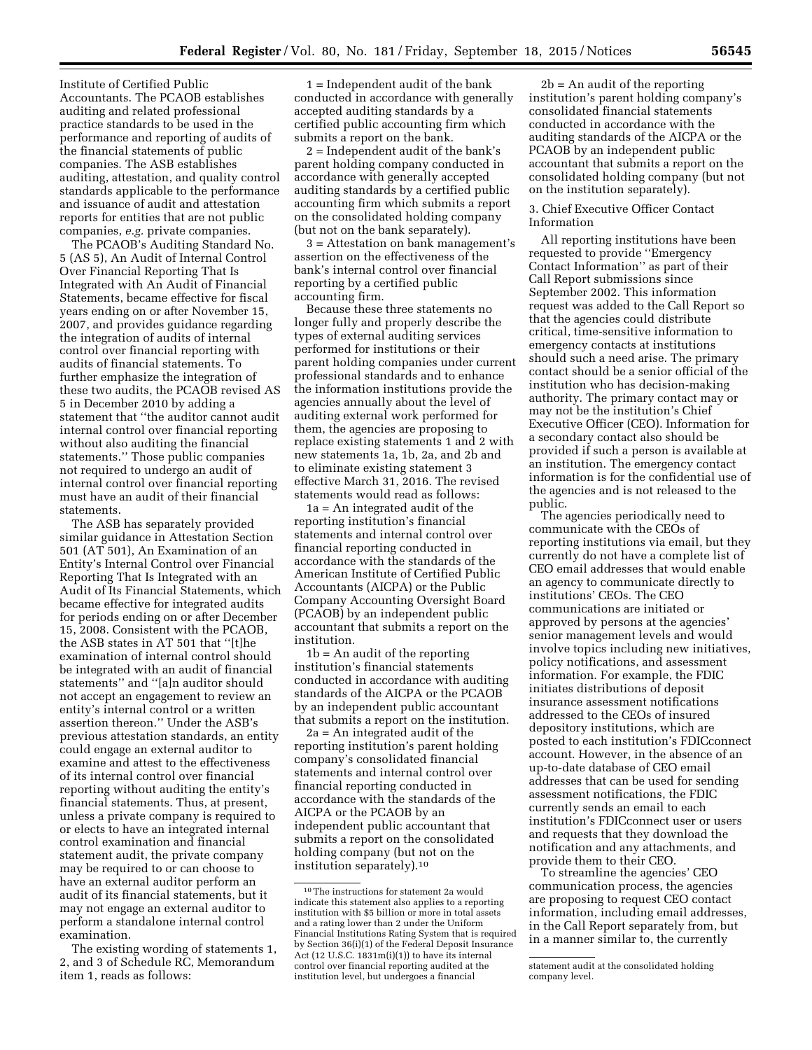Institute of Certified Public Accountants. The PCAOB establishes auditing and related professional practice standards to be used in the performance and reporting of audits of the financial statements of public companies. The ASB establishes auditing, attestation, and quality control standards applicable to the performance and issuance of audit and attestation reports for entities that are not public companies, *e.g.* private companies.

The PCAOB's Auditing Standard No. 5 (AS 5), An Audit of Internal Control Over Financial Reporting That Is Integrated with An Audit of Financial Statements, became effective for fiscal years ending on or after November 15, 2007, and provides guidance regarding the integration of audits of internal control over financial reporting with audits of financial statements. To further emphasize the integration of these two audits, the PCAOB revised AS 5 in December 2010 by adding a statement that ''the auditor cannot audit internal control over financial reporting without also auditing the financial statements.'' Those public companies not required to undergo an audit of internal control over financial reporting must have an audit of their financial statements.

The ASB has separately provided similar guidance in Attestation Section 501 (AT 501), An Examination of an Entity's Internal Control over Financial Reporting That Is Integrated with an Audit of Its Financial Statements, which became effective for integrated audits for periods ending on or after December 15, 2008. Consistent with the PCAOB, the ASB states in AT 501 that ''[t]he examination of internal control should be integrated with an audit of financial statements'' and ''[a]n auditor should not accept an engagement to review an entity's internal control or a written assertion thereon.'' Under the ASB's previous attestation standards, an entity could engage an external auditor to examine and attest to the effectiveness of its internal control over financial reporting without auditing the entity's financial statements. Thus, at present, unless a private company is required to or elects to have an integrated internal control examination and financial statement audit, the private company may be required to or can choose to have an external auditor perform an audit of its financial statements, but it may not engage an external auditor to perform a standalone internal control examination.

The existing wording of statements 1, 2, and 3 of Schedule RC, Memorandum item 1, reads as follows:

1 = Independent audit of the bank conducted in accordance with generally accepted auditing standards by a certified public accounting firm which submits a report on the bank.

2 = Independent audit of the bank's parent holding company conducted in accordance with generally accepted auditing standards by a certified public accounting firm which submits a report on the consolidated holding company (but not on the bank separately).

3 = Attestation on bank management's assertion on the effectiveness of the bank's internal control over financial reporting by a certified public accounting firm.

Because these three statements no longer fully and properly describe the types of external auditing services performed for institutions or their parent holding companies under current professional standards and to enhance the information institutions provide the agencies annually about the level of auditing external work performed for them, the agencies are proposing to replace existing statements 1 and 2 with new statements 1a, 1b, 2a, and 2b and to eliminate existing statement 3 effective March 31, 2016. The revised statements would read as follows:

1a = An integrated audit of the reporting institution's financial statements and internal control over financial reporting conducted in accordance with the standards of the American Institute of Certified Public Accountants (AICPA) or the Public Company Accounting Oversight Board (PCAOB) by an independent public accountant that submits a report on the institution.

1b = An audit of the reporting institution's financial statements conducted in accordance with auditing standards of the AICPA or the PCAOB by an independent public accountant that submits a report on the institution.

2a = An integrated audit of the reporting institution's parent holding company's consolidated financial statements and internal control over financial reporting conducted in accordance with the standards of the AICPA or the PCAOB by an independent public accountant that submits a report on the consolidated holding company (but not on the institution separately).10

 $2b = An$  audit of the reporting institution's parent holding company's consolidated financial statements conducted in accordance with the auditing standards of the AICPA or the PCAOB by an independent public accountant that submits a report on the consolidated holding company (but not on the institution separately).

# 3. Chief Executive Officer Contact Information

All reporting institutions have been requested to provide ''Emergency Contact Information'' as part of their Call Report submissions since September 2002. This information request was added to the Call Report so that the agencies could distribute critical, time-sensitive information to emergency contacts at institutions should such a need arise. The primary contact should be a senior official of the institution who has decision-making authority. The primary contact may or may not be the institution's Chief Executive Officer (CEO). Information for a secondary contact also should be provided if such a person is available at an institution. The emergency contact information is for the confidential use of the agencies and is not released to the public.

The agencies periodically need to communicate with the CEOs of reporting institutions via email, but they currently do not have a complete list of CEO email addresses that would enable an agency to communicate directly to institutions' CEOs. The CEO communications are initiated or approved by persons at the agencies' senior management levels and would involve topics including new initiatives, policy notifications, and assessment information. For example, the FDIC initiates distributions of deposit insurance assessment notifications addressed to the CEOs of insured depository institutions, which are posted to each institution's FDICconnect account. However, in the absence of an up-to-date database of CEO email addresses that can be used for sending assessment notifications, the FDIC currently sends an email to each institution's FDICconnect user or users and requests that they download the notification and any attachments, and provide them to their CEO.

To streamline the agencies' CEO communication process, the agencies are proposing to request CEO contact information, including email addresses, in the Call Report separately from, but in a manner similar to, the currently

<sup>10</sup>The instructions for statement 2a would indicate this statement also applies to a reporting institution with \$5 billion or more in total assets and a rating lower than 2 under the Uniform Financial Institutions Rating System that is required by Section 36(i)(1) of the Federal Deposit Insurance Act (12 U.S.C. 1831m(i)(1)) to have its internal control over financial reporting audited at the institution level, but undergoes a financial

statement audit at the consolidated holding company level.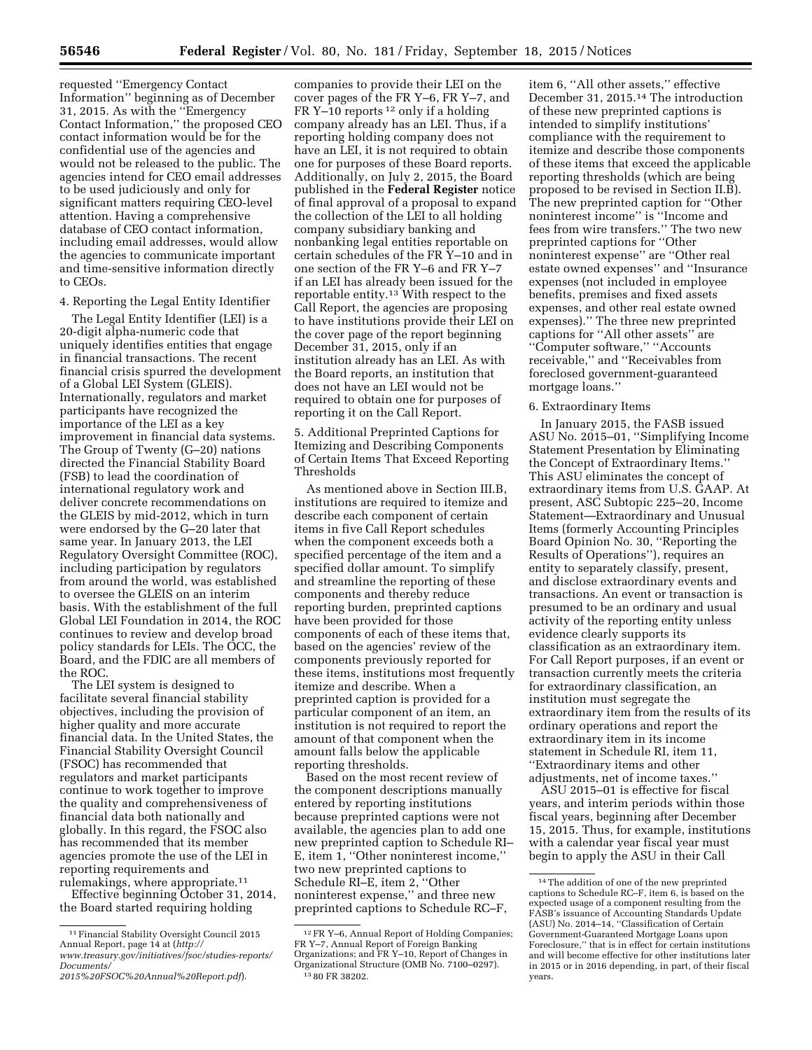requested ''Emergency Contact Information'' beginning as of December 31, 2015. As with the ''Emergency Contact Information,'' the proposed CEO contact information would be for the confidential use of the agencies and would not be released to the public. The agencies intend for CEO email addresses to be used judiciously and only for significant matters requiring CEO-level attention. Having a comprehensive database of CEO contact information, including email addresses, would allow the agencies to communicate important and time-sensitive information directly to CEOs.

### 4. Reporting the Legal Entity Identifier

The Legal Entity Identifier (LEI) is a 20-digit alpha-numeric code that uniquely identifies entities that engage in financial transactions. The recent financial crisis spurred the development of a Global LEI System (GLEIS). Internationally, regulators and market participants have recognized the importance of the LEI as a key improvement in financial data systems. The Group of Twenty (G–20) nations directed the Financial Stability Board (FSB) to lead the coordination of international regulatory work and deliver concrete recommendations on the GLEIS by mid-2012, which in turn were endorsed by the G–20 later that same year. In January 2013, the LEI Regulatory Oversight Committee (ROC), including participation by regulators from around the world, was established to oversee the GLEIS on an interim basis. With the establishment of the full Global LEI Foundation in 2014, the ROC continues to review and develop broad policy standards for LEIs. The OCC, the Board, and the FDIC are all members of the ROC.

The LEI system is designed to facilitate several financial stability objectives, including the provision of higher quality and more accurate financial data. In the United States, the Financial Stability Oversight Council (FSOC) has recommended that regulators and market participants continue to work together to improve the quality and comprehensiveness of financial data both nationally and globally. In this regard, the FSOC also has recommended that its member agencies promote the use of the LEI in reporting requirements and rulemakings, where appropriate.<sup>11</sup>

Effective beginning October 31, 2014, the Board started requiring holding

companies to provide their LEI on the cover pages of the FR Y–6, FR Y–7, and FR Y–10 reports 12 only if a holding company already has an LEI. Thus, if a reporting holding company does not have an LEI, it is not required to obtain one for purposes of these Board reports. Additionally, on July 2, 2015, the Board published in the **Federal Register** notice of final approval of a proposal to expand the collection of the LEI to all holding company subsidiary banking and nonbanking legal entities reportable on certain schedules of the FR Y–10 and in one section of the FR Y–6 and FR Y–7 if an LEI has already been issued for the reportable entity.13 With respect to the Call Report, the agencies are proposing to have institutions provide their LEI on the cover page of the report beginning December 31, 2015, only if an institution already has an LEI. As with the Board reports, an institution that does not have an LEI would not be required to obtain one for purposes of reporting it on the Call Report.

5. Additional Preprinted Captions for Itemizing and Describing Components of Certain Items That Exceed Reporting Thresholds

As mentioned above in Section III.B, institutions are required to itemize and describe each component of certain items in five Call Report schedules when the component exceeds both a specified percentage of the item and a specified dollar amount. To simplify and streamline the reporting of these components and thereby reduce reporting burden, preprinted captions have been provided for those components of each of these items that, based on the agencies' review of the components previously reported for these items, institutions most frequently itemize and describe. When a preprinted caption is provided for a particular component of an item, an institution is not required to report the amount of that component when the amount falls below the applicable reporting thresholds.

Based on the most recent review of the component descriptions manually entered by reporting institutions because preprinted captions were not available, the agencies plan to add one new preprinted caption to Schedule RI– E, item 1, ''Other noninterest income,'' two new preprinted captions to Schedule RI–E, item 2, ''Other noninterest expense,'' and three new preprinted captions to Schedule RC–F,

item 6, ''All other assets,'' effective December 31, 2015.14 The introduction of these new preprinted captions is intended to simplify institutions' compliance with the requirement to itemize and describe those components of these items that exceed the applicable reporting thresholds (which are being proposed to be revised in Section II.B). The new preprinted caption for ''Other noninterest income'' is ''Income and fees from wire transfers.'' The two new preprinted captions for ''Other noninterest expense'' are ''Other real estate owned expenses'' and ''Insurance expenses (not included in employee benefits, premises and fixed assets expenses, and other real estate owned expenses).'' The three new preprinted captions for ''All other assets'' are ''Computer software,'' ''Accounts receivable,'' and ''Receivables from foreclosed government-guaranteed mortgage loans.''

#### 6. Extraordinary Items

In January 2015, the FASB issued ASU No. 2015–01, ''Simplifying Income Statement Presentation by Eliminating the Concept of Extraordinary Items.'' This ASU eliminates the concept of extraordinary items from U.S. GAAP. At present, ASC Subtopic 225–20, Income Statement—Extraordinary and Unusual Items (formerly Accounting Principles Board Opinion No. 30, ''Reporting the Results of Operations''), requires an entity to separately classify, present, and disclose extraordinary events and transactions. An event or transaction is presumed to be an ordinary and usual activity of the reporting entity unless evidence clearly supports its classification as an extraordinary item. For Call Report purposes, if an event or transaction currently meets the criteria for extraordinary classification, an institution must segregate the extraordinary item from the results of its ordinary operations and report the extraordinary item in its income statement in Schedule RI, item 11, ''Extraordinary items and other adjustments, net of income taxes.''

ASU 2015–01 is effective for fiscal years, and interim periods within those fiscal years, beginning after December 15, 2015. Thus, for example, institutions with a calendar year fiscal year must begin to apply the ASU in their Call

<sup>11</sup>Financial Stability Oversight Council 2015 Annual Report, page 14 at (*[http://](http://www.treasury.gov/initiatives/fsoc/studies-reports/Documents/2015%20FSOC%20Annual%20Report.pdf) [www.treasury.gov/initiatives/fsoc/studies-reports/](http://www.treasury.gov/initiatives/fsoc/studies-reports/Documents/2015%20FSOC%20Annual%20Report.pdf)*

*[Documents/](http://www.treasury.gov/initiatives/fsoc/studies-reports/Documents/2015%20FSOC%20Annual%20Report.pdf) [2015%20FSOC%20Annual%20Report.pdf](http://www.treasury.gov/initiatives/fsoc/studies-reports/Documents/2015%20FSOC%20Annual%20Report.pdf)*).

<sup>12</sup>FR Y–6, Annual Report of Holding Companies; FR Y–7, Annual Report of Foreign Banking Organizations; and FR Y–10, Report of Changes in Organizational Structure (OMB No. 7100–0297). 13 80 FR 38202.

<sup>14</sup>The addition of one of the new preprinted captions to Schedule RC–F, item 6, is based on the expected usage of a component resulting from the FASB's issuance of Accounting Standards Update (ASU) No. 2014–14, ''Classification of Certain Government-Guaranteed Mortgage Loans upon Foreclosure,'' that is in effect for certain institutions and will become effective for other institutions later in 2015 or in 2016 depending, in part, of their fiscal years.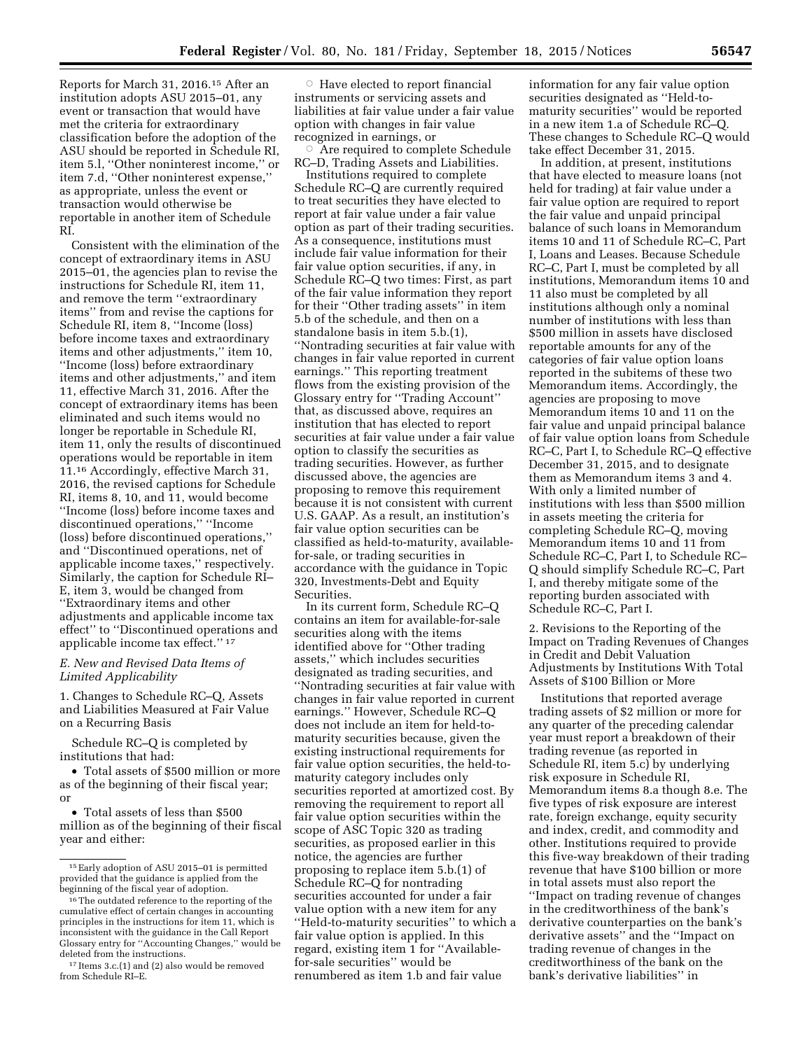Reports for March 31, 2016.15 After an institution adopts ASU 2015–01, any event or transaction that would have met the criteria for extraordinary classification before the adoption of the ASU should be reported in Schedule RI, item 5.l, ''Other noninterest income,'' or item 7.d, ''Other noninterest expense,'' as appropriate, unless the event or transaction would otherwise be reportable in another item of Schedule RI.

Consistent with the elimination of the concept of extraordinary items in ASU 2015–01, the agencies plan to revise the instructions for Schedule RI, item 11, and remove the term ''extraordinary items'' from and revise the captions for Schedule RI, item 8, ''Income (loss) before income taxes and extraordinary items and other adjustments,'' item 10, ''Income (loss) before extraordinary items and other adjustments,'' and item 11, effective March 31, 2016. After the concept of extraordinary items has been eliminated and such items would no longer be reportable in Schedule RI, item 11, only the results of discontinued operations would be reportable in item 11.16 Accordingly, effective March 31, 2016, the revised captions for Schedule RI, items 8, 10, and 11, would become ''Income (loss) before income taxes and discontinued operations,'' ''Income (loss) before discontinued operations,'' and ''Discontinued operations, net of applicable income taxes,'' respectively. Similarly, the caption for Schedule RI– E, item 3, would be changed from ''Extraordinary items and other adjustments and applicable income tax effect'' to ''Discontinued operations and applicable income tax effect.'' 17

## *E. New and Revised Data Items of Limited Applicability*

1. Changes to Schedule RC–Q, Assets and Liabilities Measured at Fair Value on a Recurring Basis

Schedule RC–Q is completed by institutions that had:

• Total assets of \$500 million or more as of the beginning of their fiscal year; or

• Total assets of less than \$500 million as of the beginning of their fiscal year and either:

 $\circ$  Have elected to report financial instruments or servicing assets and liabilities at fair value under a fair value option with changes in fair value recognized in earnings, or

 $\circ$  Are required to complete Schedule RC–D, Trading Assets and Liabilities.

Institutions required to complete Schedule RC–Q are currently required to treat securities they have elected to report at fair value under a fair value option as part of their trading securities. As a consequence, institutions must include fair value information for their fair value option securities, if any, in Schedule RC–Q two times: First, as part of the fair value information they report for their ''Other trading assets'' in item 5.b of the schedule, and then on a standalone basis in item 5.b.(1), ''Nontrading securities at fair value with changes in fair value reported in current earnings.'' This reporting treatment flows from the existing provision of the Glossary entry for ''Trading Account'' that, as discussed above, requires an institution that has elected to report securities at fair value under a fair value option to classify the securities as trading securities. However, as further discussed above, the agencies are proposing to remove this requirement because it is not consistent with current U.S. GAAP. As a result, an institution's fair value option securities can be classified as held-to-maturity, availablefor-sale, or trading securities in accordance with the guidance in Topic 320, Investments-Debt and Equity Securities.

In its current form, Schedule RC–Q contains an item for available-for-sale securities along with the items identified above for ''Other trading assets,'' which includes securities designated as trading securities, and ''Nontrading securities at fair value with changes in fair value reported in current earnings.'' However, Schedule RC–Q does not include an item for held-tomaturity securities because, given the existing instructional requirements for fair value option securities, the held-tomaturity category includes only securities reported at amortized cost. By removing the requirement to report all fair value option securities within the scope of ASC Topic 320 as trading securities, as proposed earlier in this notice, the agencies are further proposing to replace item 5.b.(1) of Schedule RC–Q for nontrading securities accounted for under a fair value option with a new item for any ''Held-to-maturity securities'' to which a fair value option is applied. In this regard, existing item 1 for ''Availablefor-sale securities'' would be renumbered as item 1.b and fair value

information for any fair value option securities designated as ''Held-tomaturity securities'' would be reported in a new item 1.a of Schedule RC–Q. These changes to Schedule RC–Q would take effect December 31, 2015.

In addition, at present, institutions that have elected to measure loans (not held for trading) at fair value under a fair value option are required to report the fair value and unpaid principal balance of such loans in Memorandum items 10 and 11 of Schedule RC–C, Part I, Loans and Leases. Because Schedule RC–C, Part I, must be completed by all institutions, Memorandum items 10 and 11 also must be completed by all institutions although only a nominal number of institutions with less than \$500 million in assets have disclosed reportable amounts for any of the categories of fair value option loans reported in the subitems of these two Memorandum items. Accordingly, the agencies are proposing to move Memorandum items 10 and 11 on the fair value and unpaid principal balance of fair value option loans from Schedule RC–C, Part I, to Schedule RC–Q effective December 31, 2015, and to designate them as Memorandum items 3 and 4. With only a limited number of institutions with less than \$500 million in assets meeting the criteria for completing Schedule RC–Q, moving Memorandum items 10 and 11 from Schedule RC–C, Part I, to Schedule RC– Q should simplify Schedule RC–C, Part I, and thereby mitigate some of the reporting burden associated with Schedule RC–C, Part I.

2. Revisions to the Reporting of the Impact on Trading Revenues of Changes in Credit and Debit Valuation Adjustments by Institutions With Total Assets of \$100 Billion or More

Institutions that reported average trading assets of \$2 million or more for any quarter of the preceding calendar year must report a breakdown of their trading revenue (as reported in Schedule RI, item 5.c) by underlying risk exposure in Schedule RI, Memorandum items 8.a though 8.e. The five types of risk exposure are interest rate, foreign exchange, equity security and index, credit, and commodity and other. Institutions required to provide this five-way breakdown of their trading revenue that have \$100 billion or more in total assets must also report the ''Impact on trading revenue of changes in the creditworthiness of the bank's derivative counterparties on the bank's derivative assets'' and the ''Impact on trading revenue of changes in the creditworthiness of the bank on the bank's derivative liabilities'' in

<sup>15</sup>Early adoption of ASU 2015–01 is permitted provided that the guidance is applied from the beginning of the fiscal year of adoption.

<sup>16</sup>The outdated reference to the reporting of the cumulative effect of certain changes in accounting principles in the instructions for item 11, which is inconsistent with the guidance in the Call Report Glossary entry for ''Accounting Changes,'' would be deleted from the instructions.

<sup>17</sup> Items 3.c.(1) and (2) also would be removed from Schedule RI–E.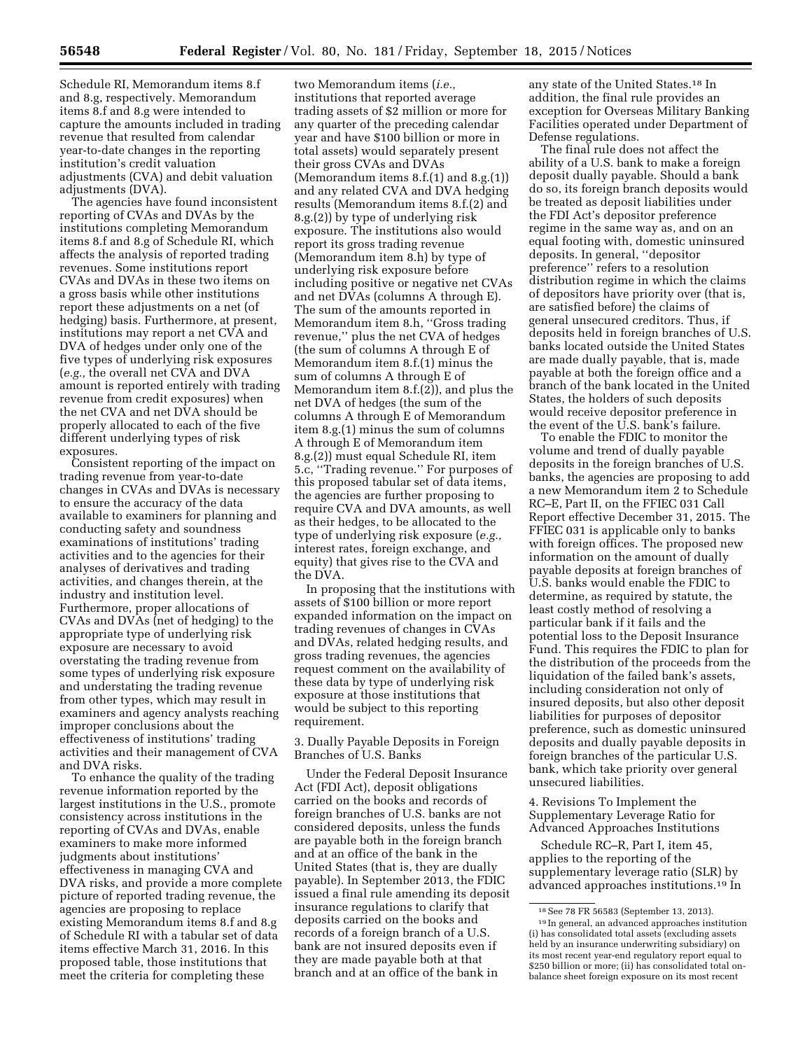Schedule RI, Memorandum items 8.f and 8.g, respectively. Memorandum items 8.f and 8.g were intended to capture the amounts included in trading revenue that resulted from calendar year-to-date changes in the reporting institution's credit valuation adjustments (CVA) and debit valuation adjustments (DVA).

The agencies have found inconsistent reporting of CVAs and DVAs by the institutions completing Memorandum items 8.f and 8.g of Schedule RI, which affects the analysis of reported trading revenues. Some institutions report CVAs and DVAs in these two items on a gross basis while other institutions report these adjustments on a net (of hedging) basis. Furthermore, at present, institutions may report a net CVA and DVA of hedges under only one of the five types of underlying risk exposures (*e.g.,* the overall net CVA and DVA amount is reported entirely with trading revenue from credit exposures) when the net CVA and net DVA should be properly allocated to each of the five different underlying types of risk exposures.

Consistent reporting of the impact on trading revenue from year-to-date changes in CVAs and DVAs is necessary to ensure the accuracy of the data available to examiners for planning and conducting safety and soundness examinations of institutions' trading activities and to the agencies for their analyses of derivatives and trading activities, and changes therein, at the industry and institution level. Furthermore, proper allocations of CVAs and DVAs (net of hedging) to the appropriate type of underlying risk exposure are necessary to avoid overstating the trading revenue from some types of underlying risk exposure and understating the trading revenue from other types, which may result in examiners and agency analysts reaching improper conclusions about the effectiveness of institutions' trading activities and their management of CVA and DVA risks.

To enhance the quality of the trading revenue information reported by the largest institutions in the U.S., promote consistency across institutions in the reporting of CVAs and DVAs, enable examiners to make more informed judgments about institutions' effectiveness in managing CVA and DVA risks, and provide a more complete picture of reported trading revenue, the agencies are proposing to replace existing Memorandum items 8.f and 8.g of Schedule RI with a tabular set of data items effective March 31, 2016. In this proposed table, those institutions that meet the criteria for completing these

two Memorandum items (*i.e.,*  institutions that reported average trading assets of \$2 million or more for any quarter of the preceding calendar year and have \$100 billion or more in total assets) would separately present their gross CVAs and DVAs (Memorandum items 8.f.(1) and 8.g.(1)) and any related CVA and DVA hedging results (Memorandum items 8.f.(2) and 8.g.(2)) by type of underlying risk exposure. The institutions also would report its gross trading revenue (Memorandum item 8.h) by type of underlying risk exposure before including positive or negative net CVAs and net DVAs (columns A through E). The sum of the amounts reported in Memorandum item 8.h, ''Gross trading revenue,'' plus the net CVA of hedges (the sum of columns A through E of Memorandum item 8.f.(1) minus the sum of columns A through E of Memorandum item 8.f.(2)), and plus the net DVA of hedges (the sum of the columns A through E of Memorandum item 8.g.(1) minus the sum of columns A through E of Memorandum item 8.g.(2)) must equal Schedule RI, item 5.c, ''Trading revenue.'' For purposes of this proposed tabular set of data items, the agencies are further proposing to require CVA and DVA amounts, as well as their hedges, to be allocated to the type of underlying risk exposure (*e.g.,*  interest rates, foreign exchange, and equity) that gives rise to the CVA and the DVA.

In proposing that the institutions with assets of \$100 billion or more report expanded information on the impact on trading revenues of changes in CVAs and DVAs, related hedging results, and gross trading revenues, the agencies request comment on the availability of these data by type of underlying risk exposure at those institutions that would be subject to this reporting requirement.

3. Dually Payable Deposits in Foreign Branches of U.S. Banks

Under the Federal Deposit Insurance Act (FDI Act), deposit obligations carried on the books and records of foreign branches of U.S. banks are not considered deposits, unless the funds are payable both in the foreign branch and at an office of the bank in the United States (that is, they are dually payable). In September 2013, the FDIC issued a final rule amending its deposit insurance regulations to clarify that deposits carried on the books and records of a foreign branch of a U.S. bank are not insured deposits even if they are made payable both at that branch and at an office of the bank in

any state of the United States.18 In addition, the final rule provides an exception for Overseas Military Banking Facilities operated under Department of Defense regulations.

The final rule does not affect the ability of a U.S. bank to make a foreign deposit dually payable. Should a bank do so, its foreign branch deposits would be treated as deposit liabilities under the FDI Act's depositor preference regime in the same way as, and on an equal footing with, domestic uninsured deposits. In general, ''depositor preference'' refers to a resolution distribution regime in which the claims of depositors have priority over (that is, are satisfied before) the claims of general unsecured creditors. Thus, if deposits held in foreign branches of U.S. banks located outside the United States are made dually payable, that is, made payable at both the foreign office and a branch of the bank located in the United States, the holders of such deposits would receive depositor preference in the event of the U.S. bank's failure.

To enable the FDIC to monitor the volume and trend of dually payable deposits in the foreign branches of U.S. banks, the agencies are proposing to add a new Memorandum item 2 to Schedule RC–E, Part II, on the FFIEC 031 Call Report effective December 31, 2015. The FFIEC 031 is applicable only to banks with foreign offices. The proposed new information on the amount of dually payable deposits at foreign branches of U.S. banks would enable the FDIC to determine, as required by statute, the least costly method of resolving a particular bank if it fails and the potential loss to the Deposit Insurance Fund. This requires the FDIC to plan for the distribution of the proceeds from the liquidation of the failed bank's assets, including consideration not only of insured deposits, but also other deposit liabilities for purposes of depositor preference, such as domestic uninsured deposits and dually payable deposits in foreign branches of the particular U.S. bank, which take priority over general unsecured liabilities.

4. Revisions To Implement the Supplementary Leverage Ratio for Advanced Approaches Institutions

Schedule RC–R, Part I, item 45, applies to the reporting of the supplementary leverage ratio (SLR) by advanced approaches institutions.19 In

<sup>18</sup>See 78 FR 56583 (September 13, 2013).

<sup>19</sup> In general, an advanced approaches institution (i) has consolidated total assets (excluding assets held by an insurance underwriting subsidiary) on its most recent year-end regulatory report equal to \$250 billion or more; (ii) has consolidated total onbalance sheet foreign exposure on its most recent